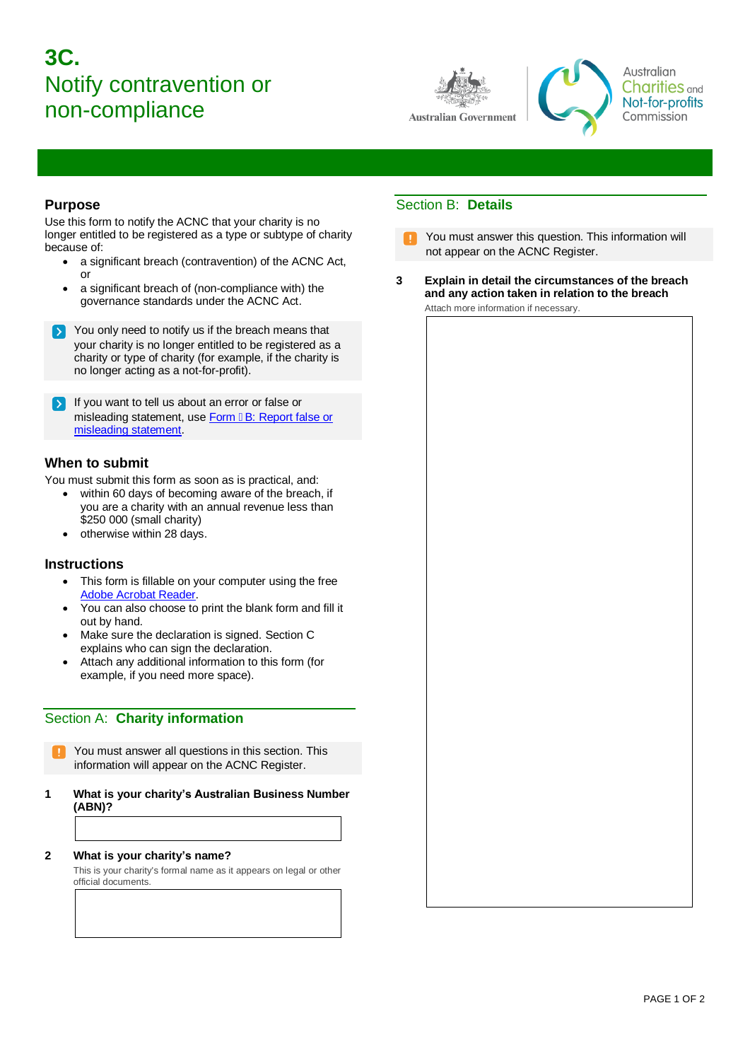# **3C.**  Notify contravention or non-compliance



Australian **Charities** and Not-for-profits Commission

#### **Purpose**

Use this form to notify the ACNC that your charity is no longer entitled to be registered as a type or subtype of charity because of:

- a significant breach (contravention) of the ACNC Act, or
- a significant breach of (non-compliance with) the governance standards under the ACNC Act.

You only need to notify us if the breach means that your charity is no longer entitled to be registered as a charity or type of charity (for example, if the charity is no longer acting as a not-for-profit).

If you want to tell us about an error or false or misleading statement, use Form I B: Report false or [misleading statement.](https://www.acnc.gov.au/sites/default/files/documents/2021-11/Form%205B%20Reporting%20false%20or%20misleading%20statement.pdf)

#### **When to submit**

You must submit this form as soon as is practical, and:

- within 60 days of becoming aware of the breach, if you are a charity with an annual revenue less than \$250 000 (small charity)
- otherwise within 28 days.

#### **Instructions**

- This form is fillable on your computer using the free [Adobe Acrobat Reader.](http://www.adobe.com/au/products/reader.html)
- You can also choose to print the blank form and fill it out by hand.
- Make sure the declaration is signed. Section C explains who can sign the declaration.
- Attach any additional information to this form (for example, if you need more space).

## Section A: **Charity information**

You must answer all questions in this section. This information will appear on the ACNC Register.

- **1 What is your charity's Australian Business Number (ABN)?**
- **2 What is your charity's name?**

This is your charity's formal name as it appears on legal or other official documents.

# Section B: **Details**

- You must answer this question. This information will not appear on the ACNC Register.
- **3 Explain in detail the circumstances of the breach and any action taken in relation to the breach**  Attach more information if necessary.